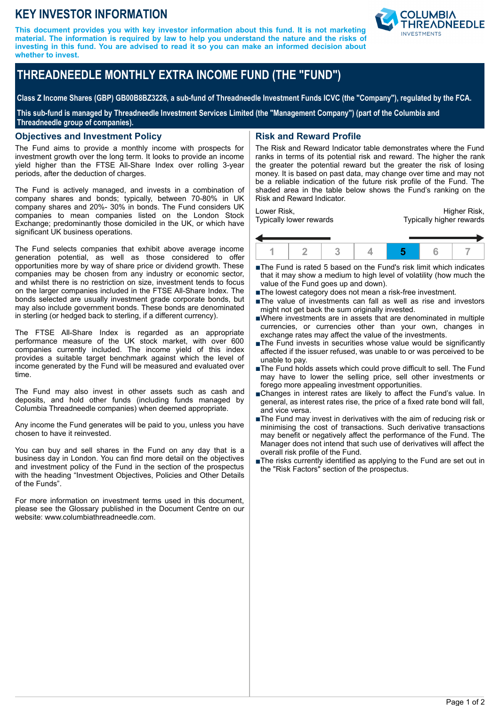# **KEY INVESTOR INFORMATION**

**This document provides you with key investor information about this fund. It is not marketing material. The information is required by law to help you understand the nature and the risks of investing in this fund. You are advised to read it so you can make an informed decision about whether to invest.**



**Class Z Income Shares (GBP) GB00B8BZ3226, a sub-fund of Threadneedle Investment Funds ICVC (the "Company"), regulated by the FCA.**

**This sub-fund is managed by Threadneedle Investment Services Limited (the "Management Company") (part of the Columbia and Threadneedle group of companies).**

#### **Objectives and Investment Policy**

The Fund aims to provide a monthly income with prospects for investment growth over the long term. It looks to provide an income yield higher than the FTSE All-Share Index over rolling 3-year periods, after the deduction of charges.

The Fund is actively managed, and invests in a combination of company shares and bonds; typically, between 70-80% in UK company shares and 20%- 30% in bonds. The Fund considers UK companies to mean companies listed on the London Stock Exchange; predominantly those domiciled in the UK, or which have significant UK business operations.

The Fund selects companies that exhibit above average income generation potential, as well as those considered to offer opportunities more by way of share price or dividend growth. These companies may be chosen from any industry or economic sector, and whilst there is no restriction on size, investment tends to focus on the larger companies included in the FTSE All-Share Index. The bonds selected are usually investment grade corporate bonds, but may also include government bonds. These bonds are denominated in sterling (or hedged back to sterling, if a different currency).

The FTSE All-Share Index is regarded as an appropriate performance measure of the UK stock market, with over 600 companies currently included. The income yield of this index provides a suitable target benchmark against which the level of income generated by the Fund will be measured and evaluated over time.

The Fund may also invest in other assets such as cash and deposits, and hold other funds (including funds managed by Columbia Threadneedle companies) when deemed appropriate.

Any income the Fund generates will be paid to you, unless you have chosen to have it reinvested.

You can buy and sell shares in the Fund on any day that is a business day in London. You can find more detail on the objectives and investment policy of the Fund in the section of the prospectus with the heading "Investment Objectives, Policies and Other Details of the Funds".

For more information on investment terms used in this document, please see the Glossary published in the Document Centre on our website: www.columbiathreadneedle.com.

## **Risk and Reward Profile**

The Risk and Reward Indicator table demonstrates where the Fund ranks in terms of its potential risk and reward. The higher the rank the greater the potential reward but the greater the risk of losing money. It is based on past data, may change over time and may not be a reliable indication of the future risk profile of the Fund. The shaded area in the table below shows the Fund's ranking on the Risk and Reward Indicator.

Lower Risk, Typically lower rewards

Higher Risk, Typically higher rewards



- ■The Fund is rated 5 based on the Fund's risk limit which indicates that it may show a medium to high level of volatility (how much the value of the Fund goes up and down).
- The lowest category does not mean a risk-free investment.
- ■The value of investments can fall as well as rise and investors might not get back the sum originally invested.
- nWhere investments are in assets that are denominated in multiple currencies, or currencies other than your own, changes in exchange rates may affect the value of the investments.
- ■The Fund invests in securities whose value would be significantly affected if the issuer refused, was unable to or was perceived to be unable to pay.
- ■The Fund holds assets which could prove difficult to sell. The Fund may have to lower the selling price, sell other investments or forego more appealing investment opportunities.
- nChanges in interest rates are likely to affect the Fund's value. In general, as interest rates rise, the price of a fixed rate bond will fall, and vice versa.
- $\blacksquare$ The Fund may invest in derivatives with the aim of reducing risk or minimising the cost of transactions. Such derivative transactions may benefit or negatively affect the performance of the Fund. The Manager does not intend that such use of derivatives will affect the overall risk profile of the Fund.
- The risks currently identified as applying to the Fund are set out in the "Risk Factors" section of the prospectus.